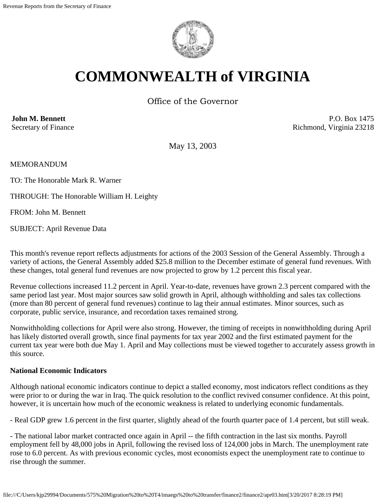

# **COMMONWEALTH of VIRGINIA**

Office of the Governor

**John M. Bennett** Secretary of Finance

P.O. Box 1475 Richmond, Virginia 23218

May 13, 2003

MEMORANDUM

TO: The Honorable Mark R. Warner

THROUGH: The Honorable William H. Leighty

FROM: John M. Bennett

SUBJECT: April Revenue Data

This month's revenue report reflects adjustments for actions of the 2003 Session of the General Assembly. Through a variety of actions, the General Assembly added \$25.8 million to the December estimate of general fund revenues. With these changes, total general fund revenues are now projected to grow by 1.2 percent this fiscal year.

Revenue collections increased 11.2 percent in April. Year-to-date, revenues have grown 2.3 percent compared with the same period last year. Most major sources saw solid growth in April, although withholding and sales tax collections (more than 80 percent of general fund revenues) continue to lag their annual estimates. Minor sources, such as corporate, public service, insurance, and recordation taxes remained strong.

Nonwithholding collections for April were also strong. However, the timing of receipts in nonwithholding during April has likely distorted overall growth, since final payments for tax year 2002 and the first estimated payment for the current tax year were both due May 1. April and May collections must be viewed together to accurately assess growth in this source.

## **National Economic Indicators**

Although national economic indicators continue to depict a stalled economy, most indicators reflect conditions as they were prior to or during the war in Iraq. The quick resolution to the conflict revived consumer confidence. At this point, however, it is uncertain how much of the economic weakness is related to underlying economic fundamentals.

- Real GDP grew 1.6 percent in the first quarter, slightly ahead of the fourth quarter pace of 1.4 percent, but still weak.

- The national labor market contracted once again in April -- the fifth contraction in the last six months. Payroll employment fell by 48,000 jobs in April, following the revised loss of 124,000 jobs in March. The unemployment rate rose to 6.0 percent. As with previous economic cycles, most economists expect the unemployment rate to continue to rise through the summer.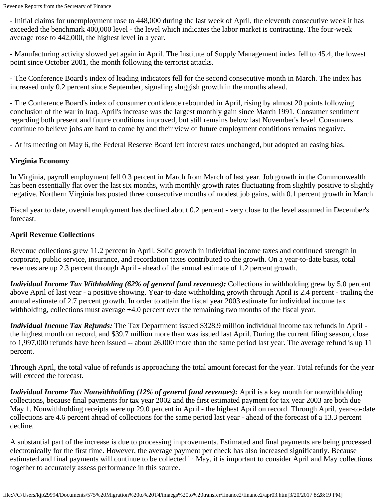- Initial claims for unemployment rose to 448,000 during the last week of April, the eleventh consecutive week it has exceeded the benchmark 400,000 level - the level which indicates the labor market is contracting. The four-week average rose to 442,000, the highest level in a year.

- Manufacturing activity slowed yet again in April. The Institute of Supply Management index fell to 45.4, the lowest point since October 2001, the month following the terrorist attacks.

- The Conference Board's index of leading indicators fell for the second consecutive month in March. The index has increased only 0.2 percent since September, signaling sluggish growth in the months ahead.

- The Conference Board's index of consumer confidence rebounded in April, rising by almost 20 points following conclusion of the war in Iraq. April's increase was the largest monthly gain since March 1991. Consumer sentiment regarding both present and future conditions improved, but still remains below last November's level. Consumers continue to believe jobs are hard to come by and their view of future employment conditions remains negative.

- At its meeting on May 6, the Federal Reserve Board left interest rates unchanged, but adopted an easing bias.

# **Virginia Economy**

In Virginia, payroll employment fell 0.3 percent in March from March of last year. Job growth in the Commonwealth has been essentially flat over the last six months, with monthly growth rates fluctuating from slightly positive to slightly negative. Northern Virginia has posted three consecutive months of modest job gains, with 0.1 percent growth in March.

Fiscal year to date, overall employment has declined about 0.2 percent - very close to the level assumed in December's forecast.

# **April Revenue Collections**

Revenue collections grew 11.2 percent in April. Solid growth in individual income taxes and continued strength in corporate, public service, insurance, and recordation taxes contributed to the growth. On a year-to-date basis, total revenues are up 2.3 percent through April - ahead of the annual estimate of 1.2 percent growth.

*Individual Income Tax Withholding (62% of general fund revenues):* Collections in withholding grew by 5.0 percent above April of last year - a positive showing. Year-to-date withholding growth through April is 2.4 percent - trailing the annual estimate of 2.7 percent growth. In order to attain the fiscal year 2003 estimate for individual income tax withholding, collections must average  $+4.0$  percent over the remaining two months of the fiscal year.

*Individual Income Tax Refunds:* The Tax Department issued \$328.9 million individual income tax refunds in April the highest month on record, and \$39.7 million more than was issued last April. During the current filing season, close to 1,997,000 refunds have been issued -- about 26,000 more than the same period last year. The average refund is up 11 percent.

Through April, the total value of refunds is approaching the total amount forecast for the year. Total refunds for the year will exceed the forecast.

*Individual Income Tax Nonwithholding (12% of general fund revenues):* April is a key month for nonwithholding collections, because final payments for tax year 2002 and the first estimated payment for tax year 2003 are both due May 1. Nonwithholding receipts were up 29.0 percent in April - the highest April on record. Through April, year-to-date collections are 4.6 percent ahead of collections for the same period last year - ahead of the forecast of a 13.3 percent decline.

A substantial part of the increase is due to processing improvements. Estimated and final payments are being processed electronically for the first time. However, the average payment per check has also increased significantly. Because estimated and final payments will continue to be collected in May, it is important to consider April and May collections together to accurately assess performance in this source.